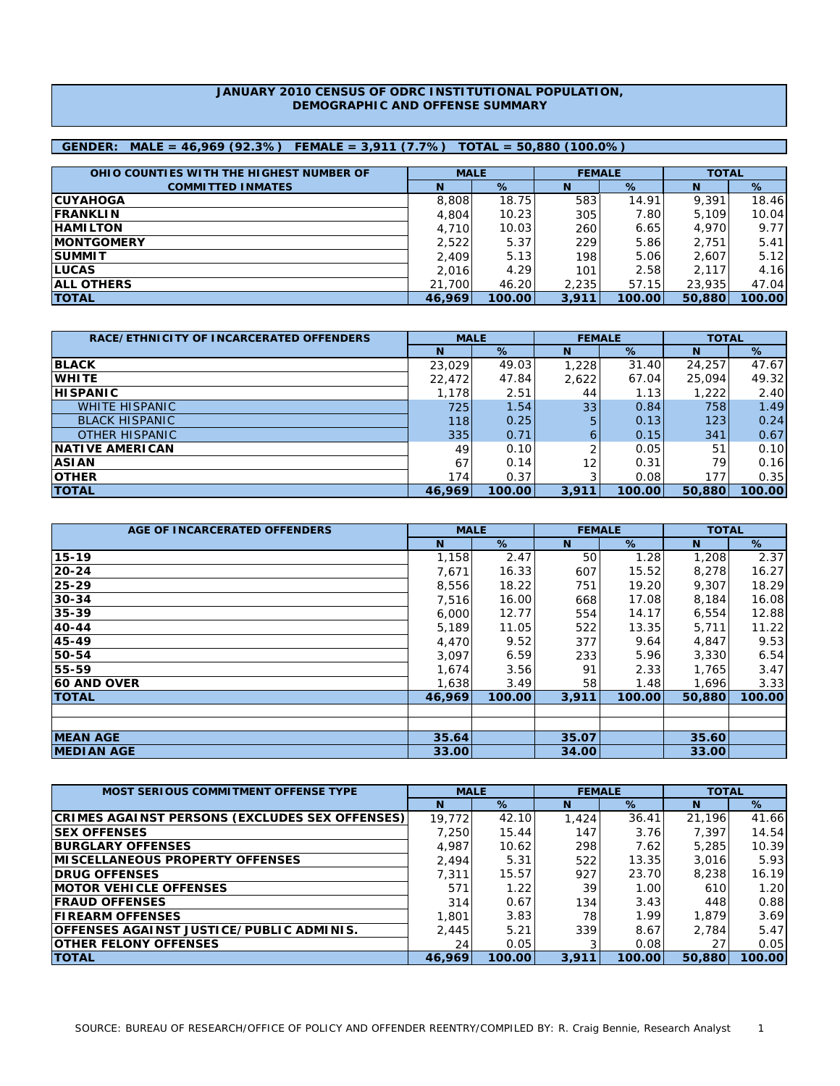## **JANUARY 2010 CENSUS OF ODRC INSTITUTIONAL POPULATION, DEMOGRAPHIC AND OFFENSE SUMMARY**

# **GENDER: MALE = 46,969 (92.3%) FEMALE = 3,911 (7.7%) TOTAL = 50,880 (100.0%)**

| OHIO COUNTIES WITH THE HIGHEST NUMBER OF | <b>MALE</b> |        | <b>FEMALE</b> |        | <b>TOTAL</b> |        |  |
|------------------------------------------|-------------|--------|---------------|--------|--------------|--------|--|
| <b>COMMITTED INMATES</b>                 | N           | %      | N             | %      | N            | %      |  |
| <b>ICUYAHOGA</b>                         | 8,808       | 18.75  | 583           | 14.91  | 9,391        | 18.46  |  |
| <b>IFRANKLIN</b>                         | 4,804       | 10.23  | 305           | 7.80   | 5.109        | 10.04  |  |
| <b>IHAMILTON</b>                         | 4.710       | 10.03  | 260           | 6.65   | 4.970        | 9.77   |  |
| <b>IMONTGOMERY</b>                       | 2,522       | 5.37   | 229           | 5.86   | 2.751        | 5.41   |  |
| <b>ISUMMIT</b>                           | 2.409       | 5.13   | 198           | 5.06   | 2,607        | 5.12   |  |
| <b>ILUCAS</b>                            | 2.016       | 4.29   | 101           | 2.58   | 2.117        | 4.16   |  |
| <b>IALL OTHERS</b>                       | 21,700      | 46.20  | 2,235         | 57.15  | 23,935       | 47.04  |  |
| <b>TOTAL</b>                             | 46.969      | 100.00 | 3,911         | 100.00 | 50,880       | 100.00 |  |

| RACE/ETHNICITY OF INCARCERATED OFFENDERS | <b>MALE</b> |        | <b>FEMALE</b>     |        | <b>TOTAL</b> |        |  |
|------------------------------------------|-------------|--------|-------------------|--------|--------------|--------|--|
|                                          | N           | $\%$   | N                 | %      | N            | %      |  |
| <b>BLACK</b>                             | 23,029      | 49.03  | 1,228             | 31.40  | 24,257       | 47.67  |  |
| <b>WHITE</b>                             | 22,472      | 47.84  | 2,622             | 67.04  | 25,094       | 49.32  |  |
| <b>HISPANIC</b>                          | 1,178       | 2.51   | 44                | 1.13   | 1,222        | 2.40   |  |
| <b>WHITE HISPANIC</b>                    | 725         | 1.54   | 33                | 0.84   | 758          | 1.49   |  |
| <b>BLACK HISPANIC</b>                    | 118         | 0.25   | 5.                | 0.13   | 123          | 0.24   |  |
| <b>OTHER HISPANIC</b>                    | 335         | 0.71   | 6.                | 0.15   | 341          | 0.67   |  |
| <b>INATIVE AMERICAN</b>                  | 49          | 0.10   |                   | 0.05   | 51           | 0.10   |  |
| <b>ASIAN</b>                             | 67          | 0.14   | $12 \overline{ }$ | 0.31   | 79           | 0.16   |  |
| <b>OTHER</b>                             | 174         | 0.37   |                   | 0.08   | 177          | 0.35   |  |
| <b>ITOTAL</b>                            | 46.969      | 100.00 | 3,911             | 100.00 | 50,880       | 100.00 |  |

| AGE OF INCARCERATED OFFENDERS | <b>MALE</b> |        | <b>FEMALE</b> |        | <b>TOTAL</b> |        |
|-------------------------------|-------------|--------|---------------|--------|--------------|--------|
|                               | N           | %      | N             | %      | N            | %      |
| 15-19                         | 1,158       | 2.47   | 50            | 1.28   | 1,208        | 2.37   |
| 20-24                         | 7,671       | 16.33  | 607           | 15.52  | 8,278        | 16.27  |
| 25-29                         | 8,556       | 18.22  | 751           | 19.20  | 9,307        | 18.29  |
| $30 - 34$                     | 7,516       | 16.00  | 668           | 17.08  | 8,184        | 16.08  |
| 35-39                         | 6,000       | 12.77  | 554           | 14.17  | 6,554        | 12.88  |
| 40-44                         | 5,189       | 11.05  | 522           | 13.35  | 5,711        | 11.22  |
| 45-49                         | 4,470       | 9.52   | 377           | 9.64   | 4,847        | 9.53   |
| 50-54                         | 3,097       | 6.59   | 233           | 5.96   | 3,330        | 6.54   |
| 55-59                         | 1,674       | 3.56   | 91            | 2.33   | 1,765        | 3.47   |
| <b>60 AND OVER</b>            | 1,638       | 3.49   | 58            | 1.48   | 1,696        | 3.33   |
| <b>ITOTAL</b>                 | 46.969      | 100.00 | 3,911         | 100.00 | 50,880       | 100.00 |
|                               |             |        |               |        |              |        |
|                               |             |        |               |        |              |        |
| <b>MEAN AGE</b>               | 35.64       |        | 35.07         |        | 35.60        |        |
| <b>MEDIAN AGE</b>             | 33.00       |        | 34.00         |        | 33.00        |        |

| <b>MOST SERIOUS COMMITMENT OFFENSE TYPE</b>           | <b>MALE</b> |        | <b>FEMALE</b> |        | <b>TOTAL</b> |        |  |
|-------------------------------------------------------|-------------|--------|---------------|--------|--------------|--------|--|
|                                                       | N           | %      | N             | %      | N            | %      |  |
| <b>CRIMES AGAINST PERSONS (EXCLUDES SEX OFFENSES)</b> | 19.772      | 42.10  | 1,424         | 36.41  | 21.196       | 41.66  |  |
| <b>ISEX OFFENSES</b>                                  | 7.250       | 15.44  | 147           | 3.76   | 7.397        | 14.54  |  |
| <b>BURGLARY OFFENSES</b>                              | 4,987       | 10.62  | 298           | 7.62   | 5,285        | 10.39  |  |
| <b>IMISCELLANEOUS PROPERTY OFFENSES</b>               | 2.494       | 5.31   | 522           | 13.35  | 3,016        | 5.93   |  |
| <b>IDRUG OFFENSES</b>                                 | 7.311       | 15.57  | 927           | 23.70  | 8,238        | 16.19  |  |
| <b>IMOTOR VEHICLE OFFENSES</b>                        | 571         | 1.22   | 39            | 1.00   | 610          | 1.20   |  |
| <b>IFRAUD OFFENSES</b>                                | 314         | 0.67   | 134           | 3.43   | 448          | 0.88   |  |
| <b>IFIREARM OFFENSES</b>                              | 1,801       | 3.83   | 78            | 1.99   | 1.879        | 3.69   |  |
| <b>OFFENSES AGAINST JUSTICE/PUBLIC ADMINIS.</b>       | 2,445       | 5.21   | 339           | 8.67   | 2.784        | 5.47   |  |
| <b>OTHER FELONY OFFENSES</b>                          | 24          | 0.05   |               | 0.08   | 27           | 0.05   |  |
| <b>ITOTAL</b>                                         | 46.969      | 100.00 | 3,911         | 100.00 | 50,880       | 100.00 |  |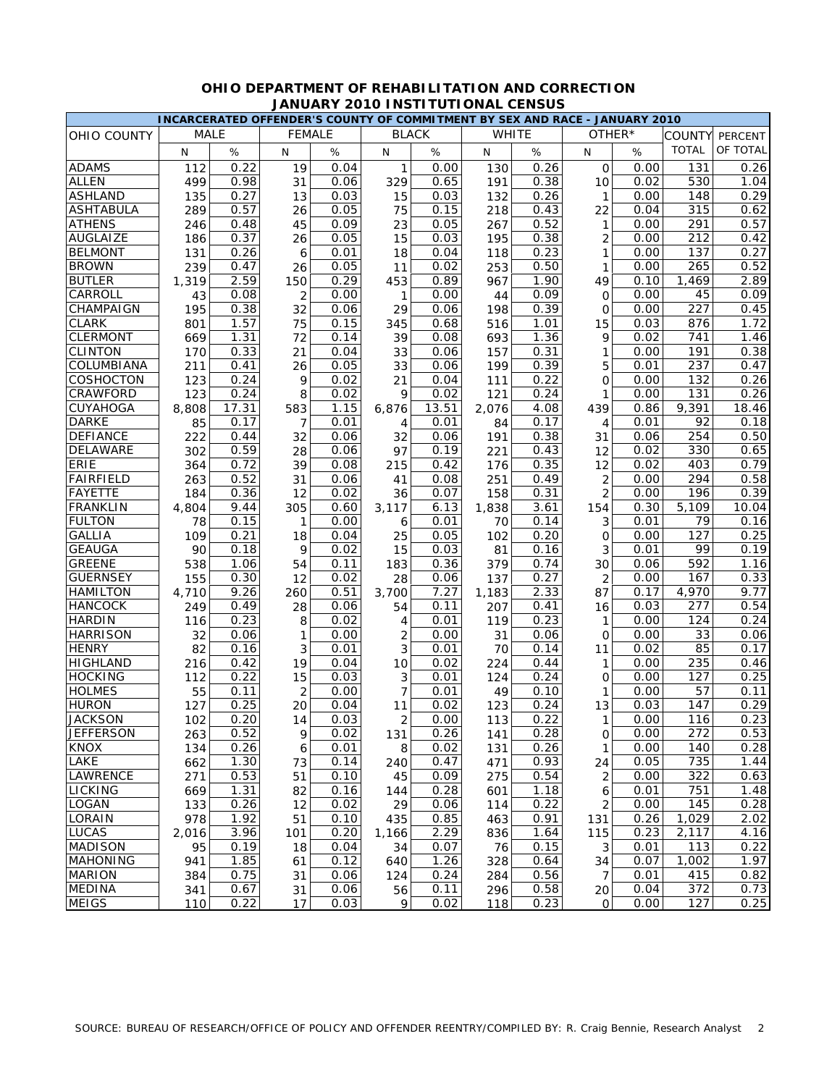|                  |             |       |     |               | INCARCERATED OFFENDER'S COUNTY OF COMMITMENT BY SEX AND RACE - JANUARY 2010 |       |       |              |                |      |                  |          |
|------------------|-------------|-------|-----|---------------|-----------------------------------------------------------------------------|-------|-------|--------------|----------------|------|------------------|----------|
| OHIO COUNTY      | <b>MALE</b> |       |     | <b>FEMALE</b> | <b>BLACK</b>                                                                |       |       | <b>WHITE</b> | OTHER*         |      | COUNTY           | PERCENT  |
|                  | N           | $\%$  | N   | %             | N                                                                           | %     | N     | $\%$         | N              | %    | <b>TOTAL</b>     | OF TOTAL |
| <b>ADAMS</b>     | 112         | 0.22  | 19  | 0.04          | 1                                                                           | 0.00  | 130   | 0.26         | 0              | 0.00 | 131              | 0.26     |
| <b>ALLEN</b>     | 499         | 0.98  | 31  | 0.06          | 329                                                                         | 0.65  | 191   | 0.38         | 10             | 0.02 | 530              | 1.04     |
| <b>ASHLAND</b>   | 135         | 0.27  | 13  | 0.03          | 15                                                                          | 0.03  | 132   | 0.26         | $\mathbf{1}$   | 0.00 | 148              | 0.29     |
| <b>ASHTABULA</b> | 289         | 0.57  | 26  | 0.05          | 75                                                                          | 0.15  | 218   | 0.43         | 22             | 0.04 | 315              | 0.62     |
| <b>ATHENS</b>    | 246         | 0.48  | 45  | 0.09          | 23                                                                          | 0.05  | 267   | 0.52         | 1              | 0.00 | 291              | 0.57     |
| <b>AUGLAIZE</b>  | 186         | 0.37  | 26  | 0.05          | 15                                                                          | 0.03  | 195   | 0.38         | $\overline{2}$ | 0.00 | 212              | 0.42     |
| <b>BELMONT</b>   | 131         | 0.26  | 6   | 0.01          | 18                                                                          | 0.04  | 118   | 0.23         | 1              | 0.00 | 137              | 0.27     |
| <b>BROWN</b>     | 239         | 0.47  | 26  | 0.05          | 11                                                                          | 0.02  | 253   | 0.50         | 1              | 0.00 | 265              | 0.52     |
| <b>BUTLER</b>    | 1,319       | 2.59  | 150 | 0.29          | 453                                                                         | 0.89  | 967   | 1.90         | 49             | 0.10 | 1,469            | 2.89     |
| CARROLL          | 43          | 0.08  | 2   | 0.00          | 1                                                                           | 0.00  | 44    | 0.09         | O              | 0.00 | 45               | 0.09     |
| CHAMPAIGN        | 195         | 0.38  | 32  | 0.06          | 29                                                                          | 0.06  | 198   | 0.39         | O              | 0.00 | 227              | 0.45     |
| <b>CLARK</b>     | 801         | 1.57  | 75  | 0.15          | 345                                                                         | 0.68  | 516   | 1.01         | 15             | 0.03 | 876              | 1.72     |
| <b>CLERMONT</b>  | 669         | 1.31  | 72  | 0.14          | 39                                                                          | 0.08  | 693   | 1.36         | 9              | 0.02 | 741              | 1.46     |
| <b>CLINTON</b>   | 170         | 0.33  | 21  | 0.04          | 33                                                                          | 0.06  | 157   | 0.31         | 1              | 0.00 | 191              | 0.38     |
| COLUMBIANA       | 211         | 0.41  | 26  | 0.05          | 33                                                                          | 0.06  | 199   | 0.39         | 5              | 0.01 | 237              | 0.47     |
| COSHOCTON        | 123         | 0.24  | 9   | 0.02          | 21                                                                          | 0.04  | 111   | 0.22         | 0              | 0.00 | 132              | 0.26     |
| CRAWFORD         | 123         | 0.24  | 8   | 0.02          | 9                                                                           | 0.02  | 121   | 0.24         | $\mathbf{1}$   | 0.00 | 131              | 0.26     |
| CUYAHOGA         | 8,808       | 17.31 | 583 | 1.15          | 6,876                                                                       | 13.51 | 2,076 | 4.08         | 439            | 0.86 | 9,391            | 18.46    |
| <b>DARKE</b>     | 85          | 0.17  | 7   | 0.01          | 4                                                                           | 0.01  | 84    | 0.17         | 4              | 0.01 | 92               | 0.18     |
| <b>DEFIANCE</b>  | 222         | 0.44  | 32  | 0.06          | 32                                                                          | 0.06  | 191   | 0.38         | 31             | 0.06 | 254              | 0.50     |
| DELAWARE         | 302         | 0.59  | 28  | 0.06          | 97                                                                          | 0.19  | 221   | 0.43         | 12             | 0.02 | 330              | 0.65     |
| ERIE             | 364         | 0.72  | 39  | 0.08          | 215                                                                         | 0.42  | 176   | 0.35         | 12             | 0.02 | 403              | 0.79     |
| <b>FAIRFIELD</b> | 263         | 0.52  | 31  | 0.06          | 41                                                                          | 0.08  | 251   | 0.49         | $\overline{2}$ | 0.00 | 294              | 0.58     |
| <b>FAYETTE</b>   | 184         | 0.36  | 12  | 0.02          | 36                                                                          | 0.07  | 158   | 0.31         | $\overline{2}$ | 0.00 | 196              | 0.39     |
| <b>FRANKLIN</b>  | 4.804       | 9.44  | 305 | 0.60          | 3,117                                                                       | 6.13  | 1,838 | 3.61         | 154            | 0.30 | 5,109            | 10.04    |
| <b>FULTON</b>    | 78          | 0.15  | 1   | 0.00          | 6                                                                           | 0.01  | 70    | 0.14         | 3              | 0.01 | 79               | 0.16     |
| <b>GALLIA</b>    | 109         | 0.21  | 18  | 0.04          | 25                                                                          | 0.05  | 102   | 0.20         | 0              | 0.00 | 127              | 0.25     |
| <b>GEAUGA</b>    | 90          | 0.18  | 9   | 0.02          | 15                                                                          | 0.03  | 81    | 0.16         | 3              | 0.01 | 99               | 0.19     |
| <b>GREENE</b>    | 538         | 1.06  | 54  | 0.11          | 183                                                                         | 0.36  | 379   | 0.74         | 30             | 0.06 | 592              | 1.16     |
| <b>GUERNSEY</b>  | 155         | 0.30  | 12  | 0.02          | 28                                                                          | 0.06  | 137   | 0.27         | $\overline{2}$ | 0.00 | 167              | 0.33     |
| <b>HAMILTON</b>  | 4,710       | 9.26  | 260 | 0.51          | 3,700                                                                       | 7.27  | 1,183 | 2.33         | 87             | 0.17 | 4,970            | 9.77     |
| <b>HANCOCK</b>   | 249         | 0.49  | 28  | 0.06          | 54                                                                          | 0.11  | 207   | 0.41         | 16             | 0.03 | 277              | 0.54     |
| <b>HARDIN</b>    | 116         | 0.23  | 8   | 0.02          | 4                                                                           | 0.01  | 119   | 0.23         | 1              | 0.00 | 124              | 0.24     |
| <b>HARRISON</b>  | 32          | 0.06  | 1   | 0.00          | $\overline{2}$                                                              | 0.00  | 31    | 0.06         | 0              | 0.00 | 33               | 0.06     |
| <b>HENRY</b>     | 82          | 0.16  | 3   | 0.01          | 3                                                                           | 0.01  | 70    | 0.14         | 11             | 0.02 | 85               | 0.17     |
| <b>HIGHLAND</b>  | 216         | 0.42  | 19  | 0.04          | 10                                                                          | 0.02  | 224   | 0.44         | 1              | 0.00 | 235              | 0.46     |
| <b>HOCKING</b>   | 112         | 0.22  | 15  | 0.03          | 3                                                                           | 0.01  | 124   | 0.24         | 0              | 0.00 | 127              | 0.25     |
| <b>HOLMES</b>    | 55          | 0.11  | 2   | 0.00          | 7                                                                           | 0.01  | 49    | 0.10         | 1              | 0.00 | 57               | 0.11     |
| <b>HURON</b>     | 127         | 0.25  | 20  | 0.04          | 11                                                                          | 0.02  | 123   | 0.24         | 13             | 0.03 | 147              | 0.29     |
| <b>JACKSON</b>   | 102         | 0.20  | 14  | 0.03          | 2                                                                           | 0.00  | 113   | 0.22         | $\mathbf{1}$   | 0.00 | 116              | 0.23     |
| <b>JEFFERSON</b> | 263         | 0.52  | 9   | 0.02          | 131                                                                         | 0.26  | 141   | 0.28         | 0              | 0.00 | 272              | 0.53     |
| <b>KNOX</b>      | 134         | 0.26  | 6   | 0.01          | 8                                                                           | 0.02  | 131   | 0.26         | $\mathbf{1}$   | 0.00 | 140              | 0.28     |
| LAKE             | 662         | 1.30  | 73  | 0.14          | 240                                                                         | 0.47  | 471   | 0.93         | 24             | 0.05 | 735              | 1.44     |
| LAWRENCE         | 271         | 0.53  | 51  | 0.10          | 45                                                                          | 0.09  | 275   | 0.54         | $\overline{2}$ | 0.00 | 322              | 0.63     |
| LICKING          | 669         | 1.31  | 82  | 0.16          | 144                                                                         | 0.28  | 601   | 1.18         | 6              | 0.01 | 751              | 1.48     |
| LOGAN            | 133         | 0.26  | 12  | 0.02          | 29                                                                          | 0.06  | 114   | 0.22         | 2              | 0.00 | 145              | 0.28     |
| LORAIN           | 978         | 1.92  | 51  | 0.10          | 435                                                                         | 0.85  | 463   | 0.91         | 131            | 0.26 | 1,029            | 2.02     |
| <b>LUCAS</b>     | 2,016       | 3.96  | 101 | 0.20          | 1,166                                                                       | 2.29  | 836   | 1.64         | 115            | 0.23 | 2,117            | 4.16     |
| <b>MADISON</b>   | 95          | 0.19  | 18  | 0.04          | 34                                                                          | 0.07  | 76    | 0.15         | 3              | 0.01 | 113              | 0.22     |
| <b>MAHONING</b>  | 941         | 1.85  | 61  | 0.12          | 640                                                                         | 1.26  | 328   | 0.64         | 34             | 0.07 | 1,002            | 1.97     |
| <b>MARION</b>    | 384         | 0.75  | 31  | 0.06          | 124                                                                         | 0.24  | 284   | 0.56         | $\overline{7}$ | 0.01 | 415              | 0.82     |
| <b>MEDINA</b>    | 341         | 0.67  | 31  | 0.06          | 56                                                                          | 0.11  | 296   | 0.58         | 20             | 0.04 | $\overline{372}$ | 0.73     |
| <b>MEIGS</b>     | 110         | 0.22  | 17  | 0.03          | 9                                                                           | 0.02  | 118   | 0.23         | 0              | 0.00 | 127              | 0.25     |

## **OHIO DEPARTMENT OF REHABILITATION AND CORRECTION JANUARY 2010 INSTITUTIONAL CENSUS**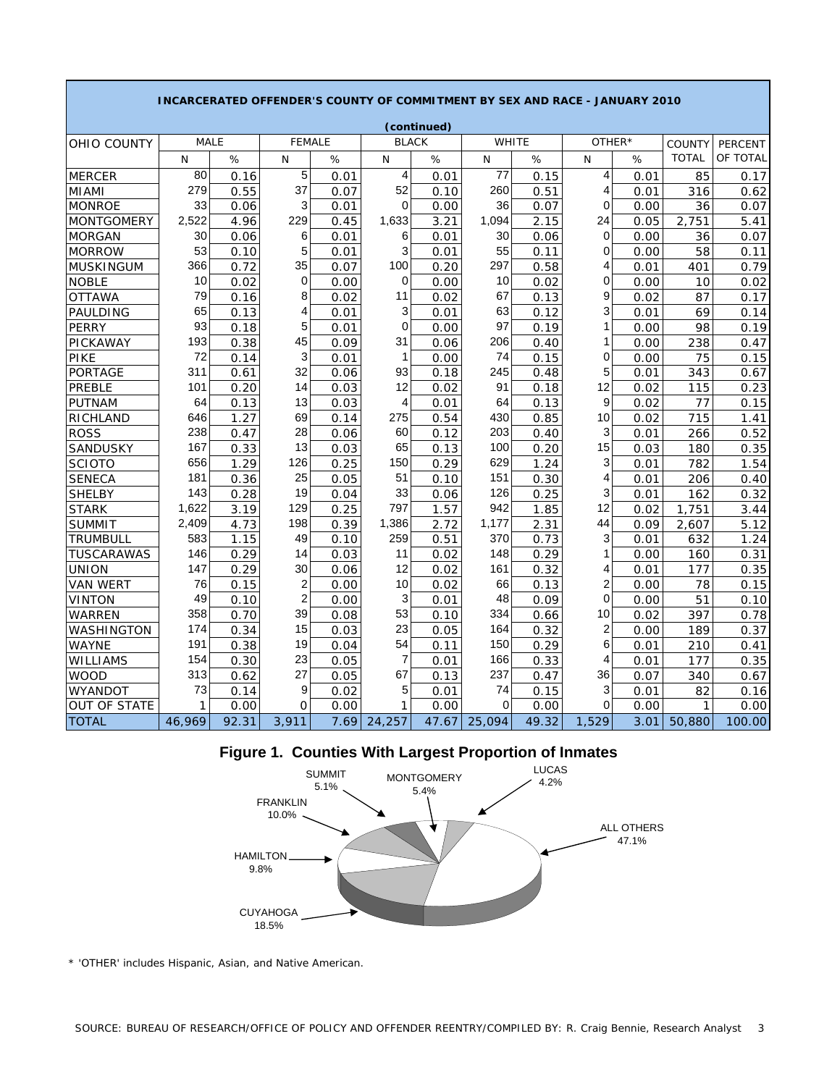|                     |             |       |               |      |                         | (continued) |              |       |                |      |               |                |
|---------------------|-------------|-------|---------------|------|-------------------------|-------------|--------------|-------|----------------|------|---------------|----------------|
| <b>OHIO COUNTY</b>  | <b>MALE</b> |       | <b>FEMALE</b> |      | <b>BLACK</b>            |             | <b>WHITE</b> |       | OTHER*         |      | <b>COUNTY</b> | <b>PERCENT</b> |
|                     | N           | %     | N             | %    | N                       | $\%$        | N            | %     | N              | %    | <b>TOTAL</b>  | OF TOTAL       |
| <b>MERCER</b>       | 80          | 0.16  | 5             | 0.01 | $\overline{\mathbf{4}}$ | 0.01        | 77           | 0.15  | 4              | 0.01 | 85            | 0.17           |
| <b>MIAMI</b>        | 279         | 0.55  | 37            | 0.07 | 52                      | 0.10        | 260          | 0.51  | 4              | 0.01 | 316           | 0.62           |
| <b>MONROE</b>       | 33          | 0.06  | 3             | 0.01 | $\mathbf 0$             | 0.00        | 36           | 0.07  | 0              | 0.00 | 36            | 0.07           |
| <b>MONTGOMERY</b>   | 2,522       | 4.96  | 229           | 0.45 | 1,633                   | 3.21        | 1,094        | 2.15  | 24             | 0.05 | 2,751         | 5.41           |
| <b>MORGAN</b>       | 30          | 0.06  | 6             | 0.01 | 6                       | 0.01        | 30           | 0.06  | $\Omega$       | 0.00 | 36            | 0.07           |
| <b>MORROW</b>       | 53          | 0.10  | 5             | 0.01 | 3                       | 0.01        | 55           | 0.11  | 0              | 0.00 | 58            | 0.11           |
| <b>MUSKINGUM</b>    | 366         | 0.72  | 35            | 0.07 | 100                     | 0.20        | 297          | 0.58  | 4              | 0.01 | 401           | 0.79           |
| <b>NOBLE</b>        | 10          | 0.02  | 0             | 0.00 | $\mathbf 0$             | 0.00        | 10           | 0.02  | 0              | 0.00 | 10            | 0.02           |
| <b>OTTAWA</b>       | 79          | 0.16  | 8             | 0.02 | 11                      | 0.02        | 67           | 0.13  | 9              | 0.02 | 87            | 0.17           |
| PAULDING            | 65          | 0.13  | 4             | 0.01 | 3                       | 0.01        | 63           | 0.12  | 3              | 0.01 | 69            | 0.14           |
| <b>PERRY</b>        | 93          | 0.18  | 5             | 0.01 | $\Omega$                | 0.00        | 97           | 0.19  | 1              | 0.00 | 98            | 0.19           |
| PICKAWAY            | 193         | 0.38  | 45            | 0.09 | 31                      | 0.06        | 206          | 0.40  | 1              | 0.00 | 238           | 0.47           |
| PIKE                | 72          | 0.14  | 3             | 0.01 | 1                       | 0.00        | 74           | 0.15  | $\Omega$       | 0.00 | 75            | 0.15           |
| PORTAGE             | 311         | 0.61  | 32            | 0.06 | 93                      | 0.18        | 245          | 0.48  | 5              | 0.01 | 343           | 0.67           |
| PREBLE              | 101         | 0.20  | 14            | 0.03 | 12                      | 0.02        | 91           | 0.18  | 12             | 0.02 | 115           | 0.23           |
| PUTNAM              | 64          | 0.13  | 13            | 0.03 | 4                       | 0.01        | 64           | 0.13  | 9              | 0.02 | 77            | 0.15           |
| RICHLAND            | 646         | 1.27  | 69            | 0.14 | 275                     | 0.54        | 430          | 0.85  | 10             | 0.02 | 715           | 1.41           |
| <b>ROSS</b>         | 238         | 0.47  | 28            | 0.06 | 60                      | 0.12        | 203          | 0.40  | 3              | 0.01 | 266           | 0.52           |
| SANDUSKY            | 167         | 0.33  | 13            | 0.03 | 65                      | 0.13        | 100          | 0.20  | 15             | 0.03 | 180           | 0.35           |
| <b>SCIOTO</b>       | 656         | 1.29  | 126           | 0.25 | 150                     | 0.29        | 629          | 1.24  | 3              | 0.01 | 782           | 1.54           |
| <b>SENECA</b>       | 181         | 0.36  | 25            | 0.05 | 51                      | 0.10        | 151          | 0.30  | 4              | 0.01 | 206           | 0.40           |
| <b>SHELBY</b>       | 143         | 0.28  | 19            | 0.04 | 33                      | 0.06        | 126          | 0.25  | 3              | 0.01 | 162           | 0.32           |
| <b>STARK</b>        | 1,622       | 3.19  | 129           | 0.25 | 797                     | 1.57        | 942          | 1.85  | 12             | 0.02 | 1,751         | 3.44           |
| <b>SUMMIT</b>       | 2,409       | 4.73  | 198           | 0.39 | 1,386                   | 2.72        | 1,177        | 2.31  | 44             | 0.09 | 2,607         | 5.12           |
| TRUMBULL            | 583         | 1.15  | 49            | 0.10 | 259                     | 0.51        | 370          | 0.73  | 3              | 0.01 | 632           | 1.24           |
| TUSCARAWAS          | 146         | 0.29  | 14            | 0.03 | 11                      | 0.02        | 148          | 0.29  | 1              | 0.00 | 160           | 0.31           |
| <b>UNION</b>        | 147         | 0.29  | 30            | 0.06 | 12                      | 0.02        | 161          | 0.32  | 4              | 0.01 | 177           | 0.35           |
| <b>VAN WERT</b>     | 76          | 0.15  | 2             | 0.00 | 10                      | 0.02        | 66           | 0.13  | $\overline{2}$ | 0.00 | 78            | 0.15           |
| VINTON              | 49          | 0.10  | 2             | 0.00 | 3                       | 0.01        | 48           | 0.09  | 0              | 0.00 | 51            | 0.10           |
| WARREN              | 358         | 0.70  | 39            | 0.08 | 53                      | 0.10        | 334          | 0.66  | 10             | 0.02 | 397           | 0.78           |
| WASHINGTON          | 174         | 0.34  | 15            | 0.03 | 23                      | 0.05        | 164          | 0.32  | $\overline{2}$ | 0.00 | 189           | 0.37           |
| WAYNE               | 191         | 0.38  | 19            | 0.04 | 54                      | 0.11        | 150          | 0.29  | 6              | 0.01 | 210           | 0.41           |
| <b>WILLIAMS</b>     | 154         | 0.30  | 23            | 0.05 | $\overline{7}$          | 0.01        | 166          | 0.33  | 4              | 0.01 | 177           | 0.35           |
| <b>WOOD</b>         | 313         | 0.62  | 27            | 0.05 | 67                      | 0.13        | 237          | 0.47  | 36             | 0.07 | 340           | 0.67           |
| WYANDOT             | 73          | 0.14  | 9             | 0.02 | 5                       | 0.01        | 74           | 0.15  | 3              | 0.01 | 82            | 0.16           |
| <b>OUT OF STATE</b> | 1           | 0.00  | $\Omega$      | 0.00 | 1                       | 0.00        | $\mathbf 0$  | 0.00  | $\Omega$       | 0.00 | 1             | 0.00           |
| <b>TOTAL</b>        | 46,969      | 92.31 | 3,911         | 7.69 | 24,257                  | 47.67       | 25,094       | 49.32 | 1,529          | 3.01 | 50,880        | 100.00         |

#### **INCARCERATED OFFENDER'S COUNTY OF COMMITMENT BY SEX AND RACE - JANUARY 2010**

**Figure 1. Counties With Largest Proportion of Inmates**



\* 'OTHER' includes Hispanic, Asian, and Native American.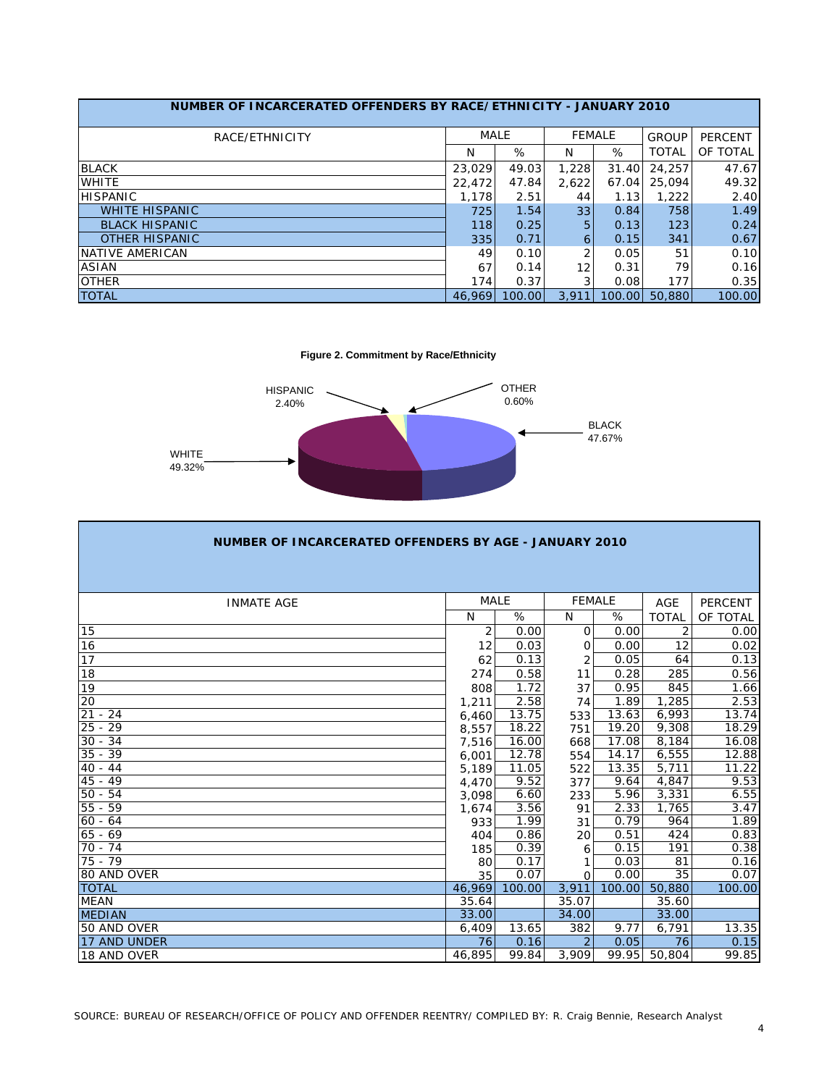| NUMBER OF INCARCERATED OFFENDERS BY RACE/ETHNICITY - JANUARY 2010 |        |        |       |               |              |                |
|-------------------------------------------------------------------|--------|--------|-------|---------------|--------------|----------------|
| RACE/ETHNICITY                                                    | MALE   |        |       | <b>FEMALE</b> | <b>GROUP</b> | <b>PERCENT</b> |
|                                                                   | N      | %      | N     | %             | <b>TOTAL</b> | OF TOTAL       |
| <b>BLACK</b>                                                      | 23,029 | 49.03  | 1,228 | 31.40         | 24,257       | 47.67          |
| <b>WHITE</b>                                                      | 22,472 | 47.84  | 2.622 | 67.04         | 25,094       | 49.32          |
| <b>HISPANIC</b>                                                   | 1,178  | 2.51   | 44    | 1.13          | 1,222        | 2.40           |
| <b>WHITE HISPANIC</b>                                             | 725    | 1.54   | 33    | 0.84          | 758          | 1.49           |
| <b>BLACK HISPANIC</b>                                             | 118    | 0.25   | 5     | 0.13          | 123          | 0.24           |
| <b>OTHER HISPANIC</b>                                             | 335    | 0.71   | 6     | 0.15          | 341          | 0.67           |
| NATIVE AMERICAN                                                   | 49     | 0.10   | 2     | 0.05          | 51           | 0.10           |
| <b>ASIAN</b>                                                      | 67     | 0.14   | 12    | 0.31          | 79           | 0.16           |
| <b>OTHER</b>                                                      | 174    | 0.37   | 3     | 0.08          | 177          | 0.35           |
| <b>TOTAL</b>                                                      | 46.969 | 100.00 | 3.911 | 100.00        | 50,880       | 100.00         |

**Figure 2. Commitment by Race/Ethnicity**



| NUMBER OF INCARCERATED OFFENDERS BY AGE - JANUARY 2010 |                |        |               |        |                |                |
|--------------------------------------------------------|----------------|--------|---------------|--------|----------------|----------------|
|                                                        |                |        |               |        |                |                |
|                                                        |                |        |               |        |                |                |
| <b>INMATE AGE</b>                                      | <b>MALE</b>    |        | <b>FEMALE</b> |        | <b>AGE</b>     | <b>PERCENT</b> |
|                                                        | N              | %      | N             | %      | <b>TOTAL</b>   | OF TOTAL       |
| 15                                                     | $\overline{2}$ | 0.00   | $\Omega$      | 0.00   | $\overline{2}$ | 0.00           |
| 16                                                     | 12             | 0.03   | O             | 0.00   | 12             | 0.02           |
| 17                                                     | 62             | 0.13   | 2             | 0.05   | 64             | 0.13           |
| 18                                                     | 274            | 0.58   | 11            | 0.28   | 285            | 0.56           |
| 19                                                     | 808            | 1.72   | 37            | 0.95   | 845            | 1.66           |
| $\overline{20}$                                        | 1,211          | 2.58   | 74            | 1.89   | 1,285          | 2.53           |
| 21<br>$-24$                                            | 6,460          | 13.75  | 533           | 13.63  | 6,993          | 13.74          |
| $25 - 29$                                              | 8,557          | 18.22  | 751           | 19.20  | 9,308          | 18.29          |
| $30 - 34$                                              | 7,516          | 16.00  | 668           | 17.08  | 8,184          | 16.08          |
| $35 - 39$                                              | 6,001          | 12.78  | 554           | 14.17  | 6,555          | 12.88          |
| $40 - 44$                                              | 5,189          | 11.05  | 522           | 13.35  | 5,711          | 11.22          |
| $45 - 49$                                              | 4,470          | 9.52   | 377           | 9.64   | 4,847          | 9.53           |
| $50 - 54$                                              | 3,098          | 6.60   | 233           | 5.96   | 3,331          | 6.55           |
| $55 - 59$                                              | 1,674          | 3.56   | 91            | 2.33   | 1,765          | 3.47           |
| $60 - 64$                                              | 933            | 1.99   | 31            | 0.79   | 964            | 1.89           |
| $65 - 69$                                              | 404            | 0.86   | 20            | 0.51   | 424            | 0.83           |
| $70 - 74$                                              | 185            | 0.39   | 6             | 0.15   | 191            | 0.38           |
| $75 - 79$                                              | 80             | 0.17   |               | 0.03   | 81             | 0.16           |
| 80 AND OVER                                            | 35             | 0.07   | $\Omega$      | 0.00   | 35             | 0.07           |
| <b>TOTAL</b>                                           | 46,969         | 100.00 | 3,911         | 100.00 | 50,880         | 100.00         |
| <b>MEAN</b>                                            | 35.64          |        | 35.07         |        | 35.60          |                |
| <b>MEDIAN</b>                                          | 33.00          |        | 34.00         |        | 33.00          |                |
| 50 AND OVER                                            | 6,409          | 13.65  | 382           | 9.77   | 6,791          | 13.35          |
| 17 AND UNDER                                           | 76             | 0.16   |               | 0.05   | 76             | 0.15           |
| 18 AND OVER                                            | 46,895         | 99.84  | 3,909         | 99.95  | 50,804         | 99.85          |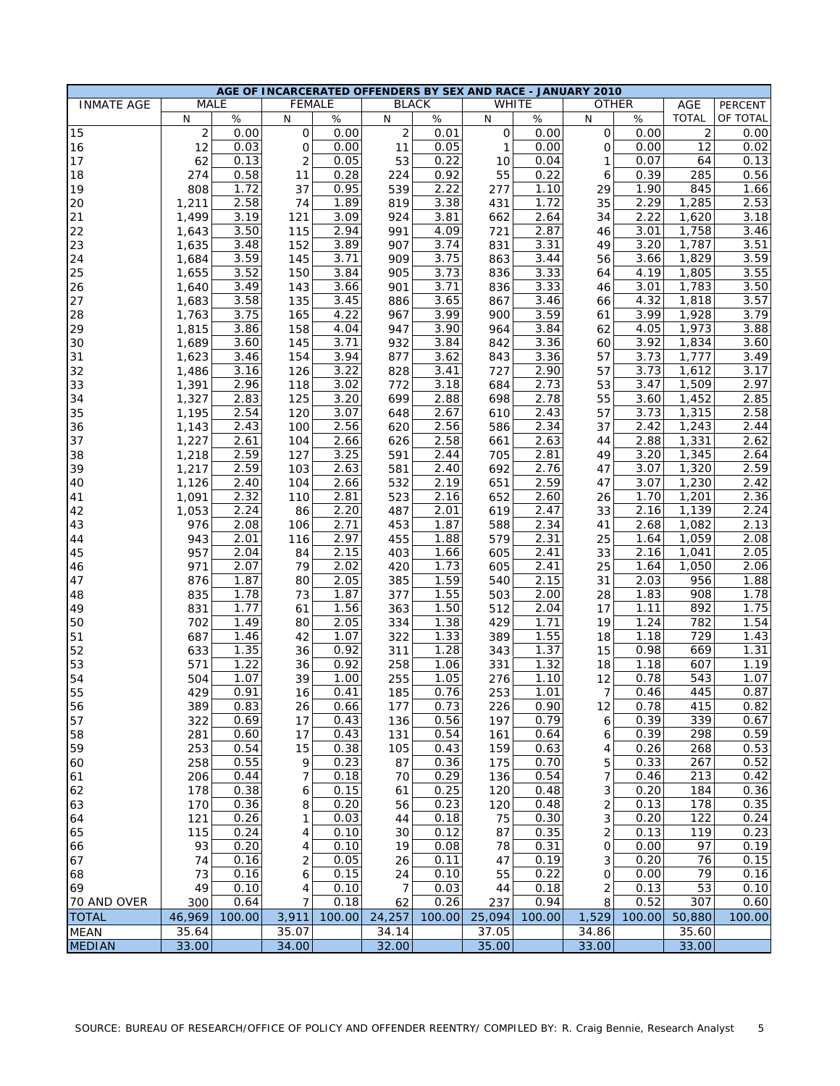|                   |                |        |                |        |                | AGE OF INCARCERATED OFFENDERS BY SEX AND RACE - JANUARY 2010 |              |                   |                         |        |                  |              |
|-------------------|----------------|--------|----------------|--------|----------------|--------------------------------------------------------------|--------------|-------------------|-------------------------|--------|------------------|--------------|
| <b>INMATE AGE</b> | <b>MALE</b>    |        | <b>FEMALE</b>  |        | <b>BLACK</b>   |                                                              | <b>WHITE</b> |                   | <b>OTHER</b>            |        | AGE              | PERCENT      |
|                   | N              | $\%$   | N              | $\%$   | N              | $\%$                                                         | N            | %                 | $\mathsf{N}$            | %      | <b>TOTAL</b>     | OF TOTAL     |
| 15                | $\overline{2}$ | 0.00   | 0              | 0.00   | $\overline{2}$ | 0.01                                                         | 0            | 0.00              | $\mathbf{O}$            | 0.00   | $\overline{c}$   | 0.00         |
| 16                | 12             | 0.03   | 0              | 0.00   | 11             | 0.05                                                         | 1            | 0.00              | $\Omega$                | 0.00   | 12               | 0.02         |
| 17                | 62             | 0.13   | $\overline{2}$ | 0.05   | 53             | 0.22                                                         | 10           | 0.04              | 1                       | 0.07   | 64               | 0.13         |
| 18                | 274            | 0.58   | 11             | 0.28   | 224            | 0.92                                                         | 55           | 0.22              | 6                       | 0.39   | 285              | 0.56         |
| 19                | 808            | 1.72   | 37             | 0.95   | 539            | 2.22                                                         | 277          | 1.10              | 29                      | 1.90   | 845              | 1.66         |
| 20                | 1,211          | 2.58   | 74             | 1.89   | 819            | 3.38                                                         | 431          | 1.72              | 35                      | 2.29   | 1,285            | 2.53         |
| 21                | 1,499          | 3.19   | 121            | 3.09   | 924            | 3.81                                                         | 662          | 2.64              | 34                      | 2.22   | 1,620            | 3.18         |
| 22                | 1,643          | 3.50   | 115            | 2.94   | 991            | 4.09                                                         | 721          | 2.87              | 46                      | 3.01   | 1,758            | 3.46         |
| 23                | 1,635          | 3.48   | 152            | 3.89   | 907            | 3.74                                                         | 831          | 3.31              | 49                      | 3.20   | 1,787            | 3.51         |
| 24                | 1,684          | 3.59   | 145            | 3.71   | 909            | 3.75                                                         | 863          | 3.44              | 56                      | 3.66   | 1,829            | 3.59         |
| 25                | 1,655          | 3.52   | 150            | 3.84   | 905            | 3.73                                                         | 836          | 3.33              | 64                      | 4.19   | 1,805            | 3.55         |
| 26                | 1,640          | 3.49   | 143            | 3.66   | 901            | 3.71                                                         | 836          | 3.33              | 46                      | 3.01   | 1,783            | 3.50         |
|                   |                |        |                |        |                |                                                              |              |                   |                         |        |                  | 3.57         |
| 27                | 1,683          | 3.58   | 135            | 3.45   | 886            | 3.65                                                         | 867          | 3.46              | 66                      | 4.32   | 1,818            |              |
| 28                | 1,763          | 3.75   | 165            | 4.22   | 967            | 3.99                                                         | 900          | 3.59              | 61                      | 3.99   | 1,928            | 3.79         |
| 29                | 1,815          | 3.86   | 158            | 4.04   | 947            | 3.90                                                         | 964          | 3.84              | 62                      | 4.05   | 1,973            | 3.88         |
| 30                | 1,689          | 3.60   | 145            | 3.71   | 932            | 3.84                                                         | 842          | 3.36              | 60                      | 3.92   | 1,834            | 3.60         |
| 31                | 1,623          | 3.46   | 154            | 3.94   | 877            | 3.62                                                         | 843          | 3.36              | 57                      | 3.73   | 1,777            | 3.49         |
| 32                | 1,486          | 3.16   | 126            | 3.22   | 828            | 3.41                                                         | 727          | 2.90              | 57                      | 3.73   | 1,612            | 3.17         |
| 33                | 1,391          | 2.96   | 118            | 3.02   | 772            | 3.18                                                         | 684          | 2.73              | 53                      | 3.47   | 1,509            | 2.97         |
| 34                | 1,327          | 2.83   | 125            | 3.20   | 699            | 2.88                                                         | 698          | 2.78              | 55                      | 3.60   | 1,452            | 2.85         |
| 35                | 1,195          | 2.54   | 120            | 3.07   | 648            | 2.67                                                         | 610          | 2.43              | 57                      | 3.73   | 1,315            | 2.58         |
| 36                | 1,143          | 2.43   | 100            | 2.56   | 620            | 2.56                                                         | 586          | 2.34              | 37                      | 2.42   | 1,243            | 2.44         |
| 37                | 1,227          | 2.61   | 104            | 2.66   | 626            | 2.58                                                         | 661          | 2.63              | 44                      | 2.88   | 1,331            | 2.62         |
| 38                | 1,218          | 2.59   | 127            | 3.25   | 591            | 2.44                                                         | 705          | 2.81              | 49                      | 3.20   | 1,345            | 2.64         |
| 39                | 1,217          | 2.59   | 103            | 2.63   | 581            | 2.40                                                         | 692          | 2.76              | 47                      | 3.07   | 1,320            | 2.59         |
| 40                | 1,126          | 2.40   | 104            | 2.66   | 532            | 2.19                                                         | 651          | 2.59              | 47                      | 3.07   | 1,230            | 2.42         |
| 41                | 1,091          | 2.32   | 110            | 2.81   | 523            | 2.16                                                         | 652          | 2.60              | 26                      | 1.70   | 1,201            | 2.36         |
| 42                | 1,053          | 2.24   | 86             | 2.20   | 487            | 2.01                                                         | 619          | 2.47              | 33                      | 2.16   | 1,139            | 2.24         |
| 43                | 976            | 2.08   | 106            | 2.71   | 453            | 1.87                                                         | 588          | 2.34              | 41                      | 2.68   | 1,082            | 2.13         |
| 44                | 943            | 2.01   | 116            | 2.97   | 455            | 1.88                                                         | 579          | 2.31              | 25                      | 1.64   | 1,059            | 2.08         |
| 45                | 957            | 2.04   | 84             | 2.15   | 403            | 1.66                                                         | 605          | 2.41              | 33                      | 2.16   | 1,041            | 2.05         |
| 46                | 971            | 2.07   | 79             | 2.02   | 420            | 1.73                                                         | 605          | $\overline{2}.41$ | 25                      | 1.64   | 1,050            | 2.06         |
| 47                | 876            | 1.87   | 80             | 2.05   | 385            | 1.59                                                         | 540          | 2.15              | 31                      | 2.03   | 956              | 1.88         |
| 48                | 835            | 1.78   | 73             | 1.87   | 377            | 1.55                                                         | 503          | 2.00              | 28                      | 1.83   | 908              | 1.78         |
| 49                | 831            | 1.77   | 61             | 1.56   | 363            | 1.50                                                         | 512          | 2.04              | 17                      | 1.11   | 892              | 1.75         |
| 50                | 702            | 1.49   | 80             | 2.05   | 334            | 1.38                                                         | 429          | 1.71              | 19                      | 1.24   | 782              | 1.54         |
| 51                | 687            | 1.46   | 42             | 1.07   | 322            | 1.33                                                         | 389          | 1.55              | 18                      | 1.18   | 729              | 1.43         |
| 52                | 633            | 1.35   | 36             | 0.92   | 311            | 1.28                                                         | 343          | 1.37              | 15                      | 0.98   | 669              | 1.31         |
| 53                | 571            | 1.22   | 36             | 0.92   | 258            | 1.06                                                         | 331          | 1.32              | 18                      | 1.18   | 607              | 1.19         |
| 54                | 504            | 1.07   | 39             | 1.00   | 255            | 1.05                                                         | 276          | 1.10              | 12                      | 0.78   | 543              | 1.07         |
| 55                | 429            | 0.91   | 16             | 0.41   | 185            | 0.76                                                         | 253          | 1.01              | 7                       | 0.46   | 445              | 0.87         |
| 56                | 389            | 0.83   | 26             | 0.66   | 177            | 0.73                                                         | 226          | 0.90              | 12                      | 0.78   | 415              | 0.82         |
| 57                | 322            | 0.69   | 17             | 0.43   | 136            | 0.56                                                         | 197          | 0.79              | 6                       | 0.39   | 339              | 0.67         |
| 58                | 281            | 0.60   | 17             | 0.43   | 131            | 0.54                                                         | 161          | 0.64              | 6                       | 0.39   | 298              | 0.59         |
| 59                | 253            | 0.54   | 15             | 0.38   | 105            | 0.43                                                         | 159          | 0.63              | 4                       | 0.26   | 268              | 0.53         |
| 60                | 258            | 0.55   | 9              | 0.23   | 87             | 0.36                                                         | 175          | 0.70              | 5                       | 0.33   | 267              | 0.52         |
| 61                | 206            | 0.44   | 7              | 0.18   | 70             | 0.29                                                         | 136          | 0.54              | 7                       | 0.46   | 213              | 0.42         |
|                   |                | 0.38   |                | 0.15   |                | 0.25                                                         |              | 0.48              |                         | 0.20   | 184              | 0.36         |
| 62                | 178            | 0.36   | 6              | 0.20   | 61             | 0.23                                                         | 120          |                   | 3                       | 0.13   | 178              | 0.35         |
| 63                | 170            |        | 8              |        | 56             |                                                              | 120          | 0.48              | $\overline{\mathbf{c}}$ |        | $\overline{122}$ |              |
| 64                | 121            | 0.26   | 1              | 0.03   | 44             | 0.18                                                         | 75           | 0.30              | 3                       | 0.20   |                  | 0.24         |
| 65                | 115            | 0.24   | 4              | 0.10   | 30             | 0.12                                                         | 87           | 0.35              | $\overline{c}$          | 0.13   | 119              | 0.23<br>0.19 |
| 66                | 93             | 0.20   | 4              | 0.10   | 19             | 0.08                                                         | 78           | 0.31              | 0                       | 0.00   | 97               |              |
| 67                | 74             | 0.16   | 2              | 0.05   | 26             | 0.11                                                         | 47           | 0.19              | 3                       | 0.20   | 76               | 0.15         |
| 68                | 73             | 0.16   | 6              | 0.15   | 24             | 0.10                                                         | 55           | 0.22              | 0                       | 0.00   | 79               | 0.16         |
| 69                | 49             | 0.10   | 4              | 0.10   | $\overline{7}$ | 0.03                                                         | 44           | 0.18              | 2                       | 0.13   | 53               | 0.10         |
| 70 AND OVER       | 300            | 0.64   | 7              | 0.18   | 62             | 0.26                                                         | 237          | 0.94              | 8                       | 0.52   | 307              | 0.60         |
| <b>TOTAL</b>      | 46,969         | 100.00 | 3,911          | 100.00 | 24,257         | 100.00                                                       | 25,094       | 100.00            | 1,529                   | 100.00 | 50,880           | 100.00       |
| <b>MEAN</b>       | 35.64          |        | 35.07          |        | 34.14          |                                                              | 37.05        |                   | 34.86                   |        | 35.60            |              |
| <b>MEDIAN</b>     | 33.00          |        | 34.00          |        | 32.00          |                                                              | 35.00        |                   | 33.00                   |        | 33.00            |              |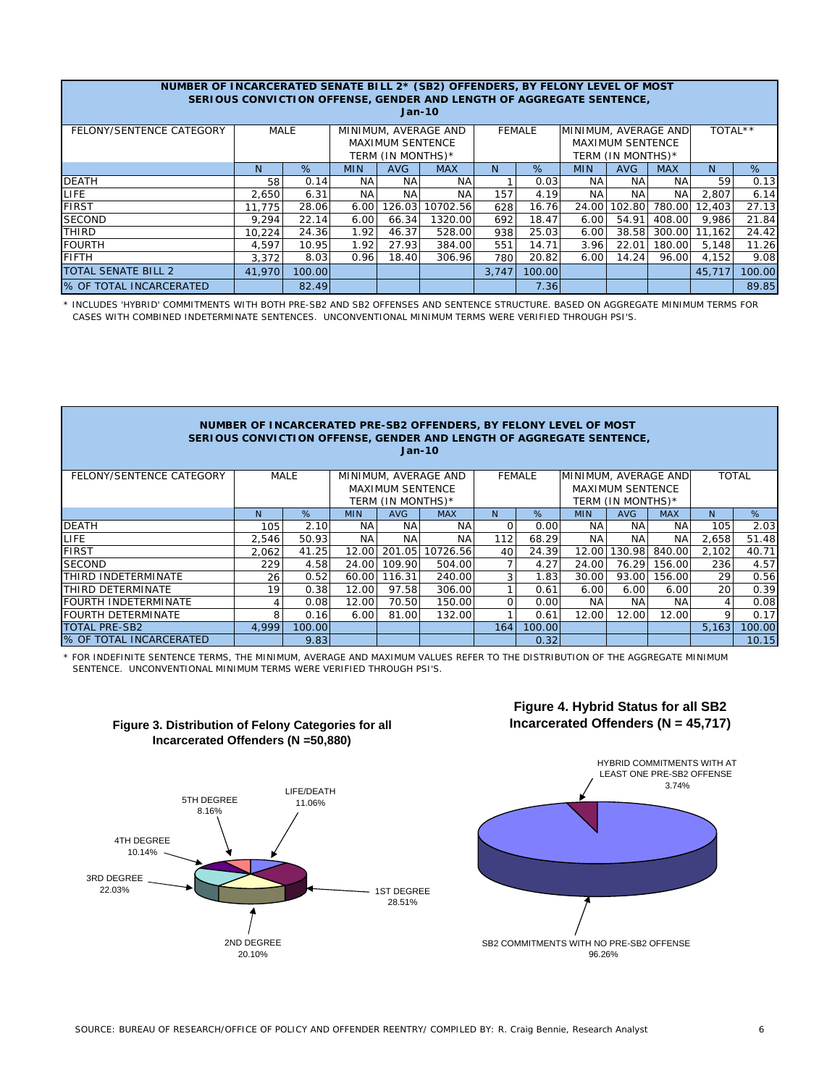| NUMBER OF INCARCERATED SENATE BILL 2* (SB2) OFFENDERS, BY FELONY LEVEL OF MOST<br>SERIOUS CONVICTION OFFENSE, GENDER AND LENGTH OF AGGREGATE SENTENCE, |          |        |            |                   |            |       |        |            |                   |            |        |        |  |
|--------------------------------------------------------------------------------------------------------------------------------------------------------|----------|--------|------------|-------------------|------------|-------|--------|------------|-------------------|------------|--------|--------|--|
|                                                                                                                                                        | $Jan-10$ |        |            |                   |            |       |        |            |                   |            |        |        |  |
| MINIMUM, AVERAGE AND<br><b>MALE</b><br><b>FEMALE</b><br>FELONY/SENTENCE CATEGORY<br>MINIMUM, AVERAGE AND                                               |          |        |            |                   |            |       |        |            |                   |            |        |        |  |
| <b>MAXIMUM SENTENCE</b><br><b>MAXIMUM SENTENCE</b>                                                                                                     |          |        |            |                   |            |       |        |            |                   |            |        |        |  |
|                                                                                                                                                        |          |        |            | TERM (IN MONTHS)* |            |       |        |            | TERM (IN MONTHS)* |            |        |        |  |
|                                                                                                                                                        | N.       | %      | <b>MIN</b> | AVG               | <b>MAX</b> | N     | %      | <b>MIN</b> | <b>AVG</b>        | <b>MAX</b> | N.     | %      |  |
| <b>DEATH</b>                                                                                                                                           | 58       | 0.14   | NA.        | <b>NA</b>         | <b>NA</b>  |       | 0.03   | NA.        | NA.               | <b>NA</b>  | 59     | 0.13   |  |
| LIFE                                                                                                                                                   | 2.650    | 6.31   | NA         | <b>NA</b>         | <b>NA</b>  | 157   | 4.19   | NA.        | <b>NA</b>         | <b>NA</b>  | 2.807  | 6.14   |  |
| <b>FIRST</b>                                                                                                                                           | 11.775   | 28.06  | 6.00       | 126.03            | 10702.56   | 628   | 16.76  | 24.00      | 102.80            | 780.00     | 12,403 | 27.13  |  |
| <b>SECOND</b>                                                                                                                                          | 9.294    | 22.14  | 6.00       | 66.34             | 1320.00    | 692   | 18.47  | 6.00       | 54.91             | 408.00     | 9.986  | 21.84  |  |
| <b>THIRD</b>                                                                                                                                           | 10.224   | 24.36  | 1.92       | 46.37             | 528.00     | 938   | 25.03  | 6.00       | 38.58             | 300.00     | 11.162 | 24.42  |  |
| <b>FOURTH</b>                                                                                                                                          | 4.597    | 10.95  | 1.92       | 27.93             | 384.00     | 551   | 14.71  | 3.96       | 22.01             | 180.00     | 5.148  | 11.26  |  |
| <b>FIFTH</b>                                                                                                                                           | 3,372    | 8.03   | 0.96       | 18.40             | 306.96     | 780   | 20.82  | 6.00       | 14.24             | 96.00      | 4,152  | 9.08   |  |
| <b>TOTAL SENATE BILL 2</b>                                                                                                                             | 41,970   | 100.00 |            |                   |            | 3,747 | 100.00 |            |                   |            | 45,717 | 100.00 |  |
| <b>8 OF TOTAL INCARCERATED</b>                                                                                                                         |          | 82.49  |            |                   |            |       | 7.36   |            |                   |            |        | 89.85  |  |

\* INCLUDES 'HYBRID' COMMITMENTS WITH BOTH PRE-SB2 AND SB2 OFFENSES AND SENTENCE STRUCTURE. BASED ON AGGREGATE MINIMUM TERMS FOR CASES WITH COMBINED INDETERMINATE SENTENCES. UNCONVENTIONAL MINIMUM TERMS WERE VERIFIED THROUGH PSI'S.

| NUMBER OF INCARCERATED PRE-SB2 OFFENDERS, BY FELONY LEVEL OF MOST<br>SERIOUS CONVICTION OFFENSE, GENDER AND LENGTH OF AGGREGATE SENTENCE,<br>$Jan-10$ |                                                    |                                        |            |            |            |                |        |            |            |              |       |        |  |
|-------------------------------------------------------------------------------------------------------------------------------------------------------|----------------------------------------------------|----------------------------------------|------------|------------|------------|----------------|--------|------------|------------|--------------|-------|--------|--|
| MINIMUM, AVERAGE AND<br>FELONY/SENTENCE CATEGORY<br><b>MALE</b><br>MINIMUM, AVERAGE AND<br><b>FEMALE</b>                                              |                                                    |                                        |            |            |            |                |        |            |            | <b>TOTAL</b> |       |        |  |
|                                                                                                                                                       | <b>MAXIMUM SENTENCE</b><br><b>MAXIMUM SENTENCE</b> |                                        |            |            |            |                |        |            |            |              |       |        |  |
|                                                                                                                                                       |                                                    | TERM (IN MONTHS)*<br>TERM (IN MONTHS)* |            |            |            |                |        |            |            |              |       |        |  |
|                                                                                                                                                       | N.                                                 | %                                      | <b>MIN</b> | <b>AVG</b> | <b>MAX</b> | N <sub>1</sub> | %      | <b>MIN</b> | <b>AVG</b> | <b>MAX</b>   | N.    | %      |  |
| <b>DEATH</b>                                                                                                                                          | 105                                                | 2.10                                   | <b>NA</b>  | NA.        | <b>NA</b>  |                | 0.00   | <b>NA</b>  | <b>NA</b>  | NA           | 105   | 2.03   |  |
| <b>LIFE</b>                                                                                                                                           | 2.546                                              | 50.93                                  | <b>NA</b>  | <b>NA</b>  | <b>NA</b>  | 112            | 68.29  | NA.        | <b>NA</b>  | <b>NA</b>    | 2,658 | 51.48  |  |
| <b>FIRST</b>                                                                                                                                          | 2.062                                              | 41.25                                  | 12.00      | 201.05     | 10726.56   | 40             | 24.39  | 12.00      | 130.98     | 840.00       | 2,102 | 40.71  |  |
| <b>SECOND</b>                                                                                                                                         | 229                                                | 4.58                                   | 24.00      | 109.90     | 504.00     |                | 4.27   | 24.00      | 76.29      | 156.00       | 236   | 4.57   |  |
| <b>THIRD INDETERMINATE</b>                                                                                                                            | 26                                                 | 0.52                                   | 60.00      | 116.31     | 240.00     |                | 1.83   | 30.00      | 93.00      | 156.00       | 29    | 0.56   |  |
| ITHIRD DETERMINATE                                                                                                                                    | 19                                                 | 0.38                                   | 12.00      | 97.58      | 306.00     |                | 0.61   | 6.00       | 6.00       | 6.00         | 20    | 0.39   |  |
| <b>FOURTH INDETERMINATE</b>                                                                                                                           | 4                                                  | 0.08                                   | 12.00      | 70.50      | 150.00     | $\Omega$       | 0.00   | NA.        | <b>NA</b>  | NA.          | 4     | 0.08   |  |
| <b>FOURTH DETERMINATE</b>                                                                                                                             | 8                                                  | 0.16                                   | 6.00       | 81.00      | 132.00     |                | 0.61   | 12.00      | 12.00      | 12.00        | 9     | 0.17   |  |
| <b>TOTAL PRE-SB2</b>                                                                                                                                  | 4.999                                              | 100.00                                 |            |            |            | 164            | 100.00 |            |            |              | 5,163 | 100.00 |  |
| <b>% OF TOTAL INCARCERATED</b>                                                                                                                        |                                                    | 9.83                                   |            |            |            |                | 0.32   |            |            |              |       | 10.15  |  |

\* FOR INDEFINITE SENTENCE TERMS, THE MINIMUM, AVERAGE AND MAXIMUM VALUES REFER TO THE DISTRIBUTION OF THE AGGREGATE MINIMUM SENTENCE. UNCONVENTIONAL MINIMUM TERMS WERE VERIFIED THROUGH PSI'S.



# **Figure 3. Distribution of Felony Categories for all Incarcerated Offenders (N =50,880)**



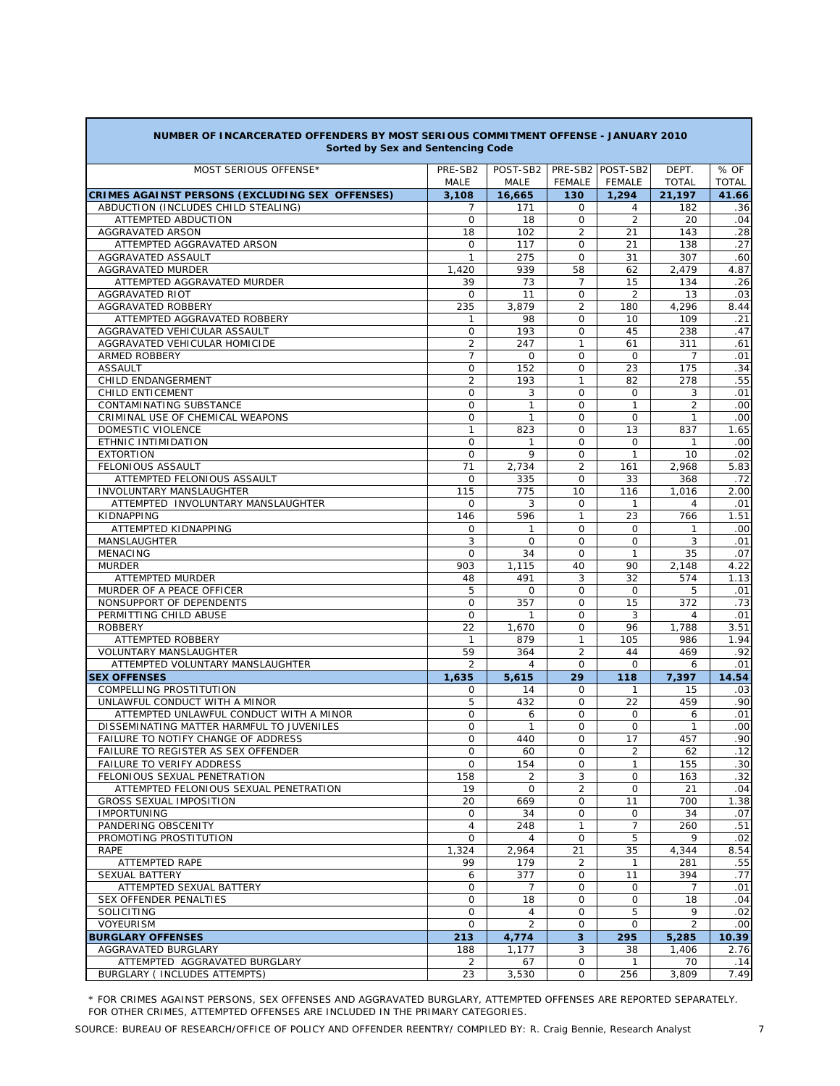| Sorted by Sex and Sentencing Code                                      |                |                       |                             |                   |                |              |  |  |  |  |  |
|------------------------------------------------------------------------|----------------|-----------------------|-----------------------------|-------------------|----------------|--------------|--|--|--|--|--|
| MOST SERIOUS OFFENSE*                                                  | PRE-SB2        | POST-SB2              |                             | PRE-SB2 POST-SB2  | DEPT.          | % OF         |  |  |  |  |  |
|                                                                        | MALE           | <b>MALE</b>           | <b>FEMALE</b>               | <b>FEMALE</b>     | <b>TOTAL</b>   | <b>TOTAL</b> |  |  |  |  |  |
| CRIMES AGAINST PERSONS (EXCLUDING SEX OFFENSES)                        | 3,108          | 16,665                | 130                         | 1,294             | 21,197         | 41.66        |  |  |  |  |  |
| ABDUCTION (INCLUDES CHILD STEALING)                                    | 7              | 171                   | 0                           | 4                 | 182            | .36          |  |  |  |  |  |
| ATTEMPTED ABDUCTION                                                    | $\mathbf{O}$   | 18                    | 0                           | $\overline{2}$    | 20             | .04          |  |  |  |  |  |
| AGGRAVATED ARSON                                                       | 18<br>$\circ$  | 102<br>117            | $\overline{c}$<br>0         | 21                | 143            | .28<br>.27   |  |  |  |  |  |
| ATTEMPTED AGGRAVATED ARSON<br>AGGRAVATED ASSAULT                       | $\mathbf{1}$   | 275                   | $\mathbf 0$                 | 21<br>31          | 138<br>307     | .60          |  |  |  |  |  |
| AGGRAVATED MURDER                                                      | 1,420          | 939                   | 58                          | 62                | 2,479          | 4.87         |  |  |  |  |  |
| ATTEMPTED AGGRAVATED MURDER                                            | 39             | 73                    | $\overline{7}$              | 15                | 134            | .26          |  |  |  |  |  |
| <b>AGGRAVATED RIOT</b>                                                 | $\mathsf O$    | 11                    | $\mathbf 0$                 | 2                 | 13             | .03          |  |  |  |  |  |
| AGGRAVATED ROBBERY                                                     | 235            | 3,879                 | $\overline{2}$              | 180               | 4,296          | 8.44         |  |  |  |  |  |
| ATTEMPTED AGGRAVATED ROBBERY                                           | 1              | 98                    | 0                           | 10                | 109            | .21          |  |  |  |  |  |
| AGGRAVATED VEHICULAR ASSAULT                                           | 0              | 193                   | 0                           | 45                | 238            | .47          |  |  |  |  |  |
| AGGRAVATED VEHICULAR HOMICIDE                                          | $\overline{c}$ | 247                   | $\mathbf{1}$                | 61                | 311            | .61          |  |  |  |  |  |
| <b>ARMED ROBBERY</b>                                                   | $\overline{7}$ | 0                     | 0                           | $\mathbf 0$       | $\overline{7}$ | .01          |  |  |  |  |  |
| <b>ASSAULT</b>                                                         | $\mathbf 0$    | 152                   | 0                           | 23                | 175            | .34          |  |  |  |  |  |
| CHILD ENDANGERMENT                                                     | $\overline{2}$ | 193                   | $\mathbf{1}$                | 82                | 278            | .55          |  |  |  |  |  |
| CHILD ENTICEMENT                                                       | $\mathbf 0$    | 3                     | $\Omega$                    | $\Omega$          | 3              | .01          |  |  |  |  |  |
| CONTAMINATING SUBSTANCE                                                | $\mathbf 0$    | $\mathbf{1}$          | 0                           | 1                 | $\overline{c}$ | .00          |  |  |  |  |  |
| CRIMINAL USE OF CHEMICAL WEAPONS                                       | $\mathbf 0$    | $\mathbf{1}$          | 0                           | $\Omega$          | $\mathbf{1}$   | .00          |  |  |  |  |  |
| DOMESTIC VIOLENCE                                                      | $\mathbf{1}$   | 823                   | 0                           | 13                | 837            | 1.65         |  |  |  |  |  |
| ETHNIC INTIMIDATION                                                    | $\circ$        | 1                     | 0                           | $\Omega$          | 1              | .00          |  |  |  |  |  |
| <b>EXTORTION</b>                                                       | $\mathbf 0$    | 9                     | $\mathbf 0$                 | 1                 | 10             | .02          |  |  |  |  |  |
| FELONIOUS ASSAULT                                                      | 71             | 2,734                 | $\overline{c}$              | 161               | 2,968          | 5.83         |  |  |  |  |  |
| ATTEMPTED FELONIOUS ASSAULT                                            | $\mathbf 0$    | 335                   | $\mathbf 0$                 | 33                | 368            | .72          |  |  |  |  |  |
| <b>INVOLUNTARY MANSLAUGHTER</b>                                        | 115            | 775                   | 10                          | 116               | 1,016          | 2.00         |  |  |  |  |  |
| ATTEMPTED INVOLUNTARY MANSLAUGHTER<br>KIDNAPPING                       | 0<br>146       | 3<br>596              | $\mathbf 0$<br>$\mathbf{1}$ | 1<br>23           | 4<br>766       | .01<br>1.51  |  |  |  |  |  |
| ATTEMPTED KIDNAPPING                                                   | $\mathbf 0$    | 1                     | 0                           | $\mathbf 0$       | 1              | .00          |  |  |  |  |  |
| <b>MANSLAUGHTER</b>                                                    | 3              | $\mathbf 0$           | $\Omega$                    | $\Omega$          | 3              | .01          |  |  |  |  |  |
| <b>MENACING</b>                                                        | 0              | 34                    | $\mathbf 0$                 | $\mathbf{1}$      | 35             | .07          |  |  |  |  |  |
| <b>MURDER</b>                                                          | 903            | 1,115                 | 40                          | 90                | 2,148          | 4.22         |  |  |  |  |  |
| ATTEMPTED MURDER                                                       | 48             | 491                   | 3                           | 32                | 574            | 1.13         |  |  |  |  |  |
| MURDER OF A PEACE OFFICER                                              | 5              | $\mathbf 0$           | $\mathbf 0$                 | $\mathbf 0$       | 5              | .01          |  |  |  |  |  |
| NONSUPPORT OF DEPENDENTS                                               | $\mathbf 0$    | 357                   | $\mathbf 0$                 | 15                | 372            | .73          |  |  |  |  |  |
| PERMITTING CHILD ABUSE                                                 | $\mathbf 0$    | $\mathbf{1}$          | 0                           | 3                 | 4              | .01          |  |  |  |  |  |
| <b>ROBBERY</b>                                                         | 22             | 1,670                 | 0                           | 96                | 1,788          | 3.51         |  |  |  |  |  |
| ATTEMPTED ROBBERY                                                      | $\mathbf{1}$   | 879                   | 1                           | 105               | 986            | 1.94         |  |  |  |  |  |
| VOLUNTARY MANSLAUGHTER                                                 | 59             | 364                   | $\overline{2}$              | 44                | 469            | .92          |  |  |  |  |  |
| ATTEMPTED VOLUNTARY MANSLAUGHTER                                       | $\overline{2}$ | 4                     | 0                           | $\Omega$          | 6              | .01          |  |  |  |  |  |
| <b>SEX OFFENSES</b>                                                    | 1,635          | 5,615                 | 29                          | 118               | 7,397          | 14.54        |  |  |  |  |  |
| <b>COMPELLING PROSTITUTION</b>                                         | 0              | 14                    | $\Omega$                    | $\mathbf{1}$      | 15             | .03          |  |  |  |  |  |
| UNLAWFUL CONDUCT WITH A MINOR                                          | 5              | 432                   | $\mathbf 0$                 | 22                | 459            | .90          |  |  |  |  |  |
| ATTEMPTED UNLAWFUL CONDUCT WITH A MINOR                                | $\mathbf 0$    | 6                     | $\Omega$                    | 0                 | 6              | .01          |  |  |  |  |  |
| DISSEMINATING MATTER HARMFUL TO JUVENILES                              | 0              | $\mathbf{1}$          | $\mathbf 0$                 | $\mathbf 0$       | $\mathbf{1}$   | .00          |  |  |  |  |  |
| FAILURE TO NOTIFY CHANGE OF ADDRESS                                    | $\mathbf 0$    | 440                   | 0                           | 17                | 457            | .90          |  |  |  |  |  |
| FAILURE TO REGISTER AS SEX OFFENDER                                    | $\Omega$       | 60                    | $\mathbf 0$                 | 2                 | 62             | .12          |  |  |  |  |  |
| <b>FAILURE TO VERIFY ADDRESS</b>                                       | 0              | 154<br>$\overline{2}$ | 0<br>3                      | $\mathbf{1}$<br>0 | 155            | .30<br>.32   |  |  |  |  |  |
| FELONIOUS SEXUAL PENETRATION<br>ATTEMPTED FELONIOUS SEXUAL PENETRATION | 158<br>19      | 0                     | $\overline{2}$              | $\mathbf 0$       | 163<br>21      | .04          |  |  |  |  |  |
| GROSS SEXUAL IMPOSITION                                                | 20             | 669                   | 0                           | 11                | 700            | 1.38         |  |  |  |  |  |
| <b>IMPORTUNING</b>                                                     | 0              | 34                    | $\mathsf{O}$                | 0                 | 34             | .07          |  |  |  |  |  |
| PANDERING OBSCENITY                                                    | 4              | 248                   | $\mathbf{1}$                | $\overline{7}$    | 260            | .51          |  |  |  |  |  |
| PROMOTING PROSTITUTION                                                 | $\mathbf 0$    | $\overline{4}$        | $\mathsf{O}$                | 5                 | 9              | .02          |  |  |  |  |  |
| RAPE                                                                   | 1,324          | 2,964                 | 21                          | 35                | 4,344          | 8.54         |  |  |  |  |  |
| ATTEMPTED RAPE                                                         | 99             | 179                   | $\overline{2}$              | $\mathbf{1}$      | 281            | .55          |  |  |  |  |  |
| SEXUAL BATTERY                                                         | 6              | 377                   | 0                           | 11                | 394            | .77          |  |  |  |  |  |
| ATTEMPTED SEXUAL BATTERY                                               | 0              | 7                     | $\mathsf{O}$                | 0                 | 7              | .01          |  |  |  |  |  |
| SEX OFFENDER PENALTIES                                                 | 0              | 18                    | 0                           | 0                 | 18             | .04          |  |  |  |  |  |
| SOLICITING                                                             | 0              | 4                     | $\mathsf{O}$                | 5                 | 9              | .02          |  |  |  |  |  |
| <b>VOYEURISM</b>                                                       | 0              | 2                     | 0                           | 0                 | $\overline{2}$ | .00          |  |  |  |  |  |
| <b>BURGLARY OFFENSES</b>                                               | 213            | 4,774                 | $\overline{\mathbf{3}}$     | 295               | 5,285          | 10.39        |  |  |  |  |  |
| AGGRAVATED BURGLARY                                                    | 188            | 1,177                 | 3                           | 38                | 1,406          | 2.76         |  |  |  |  |  |
| ATTEMPTED AGGRAVATED BURGLARY                                          | $\overline{2}$ | 67                    | 0                           | $\mathbf{1}$      | 70             | .14          |  |  |  |  |  |
| BURGLARY ( INCLUDES ATTEMPTS)                                          | 23             | 3,530                 | 0                           | 256               | 3,809          | 7.49         |  |  |  |  |  |

# **NUMBER OF INCARCERATED OFFENDERS BY MOST SERIOUS COMMITMENT OFFENSE - JANUARY 2010**

\* FOR CRIMES AGAINST PERSONS, SEX OFFENSES AND AGGRAVATED BURGLARY, ATTEMPTED OFFENSES ARE REPORTED SEPARATELY. FOR OTHER CRIMES, ATTEMPTED OFFENSES ARE INCLUDED IN THE PRIMARY CATEGORIES.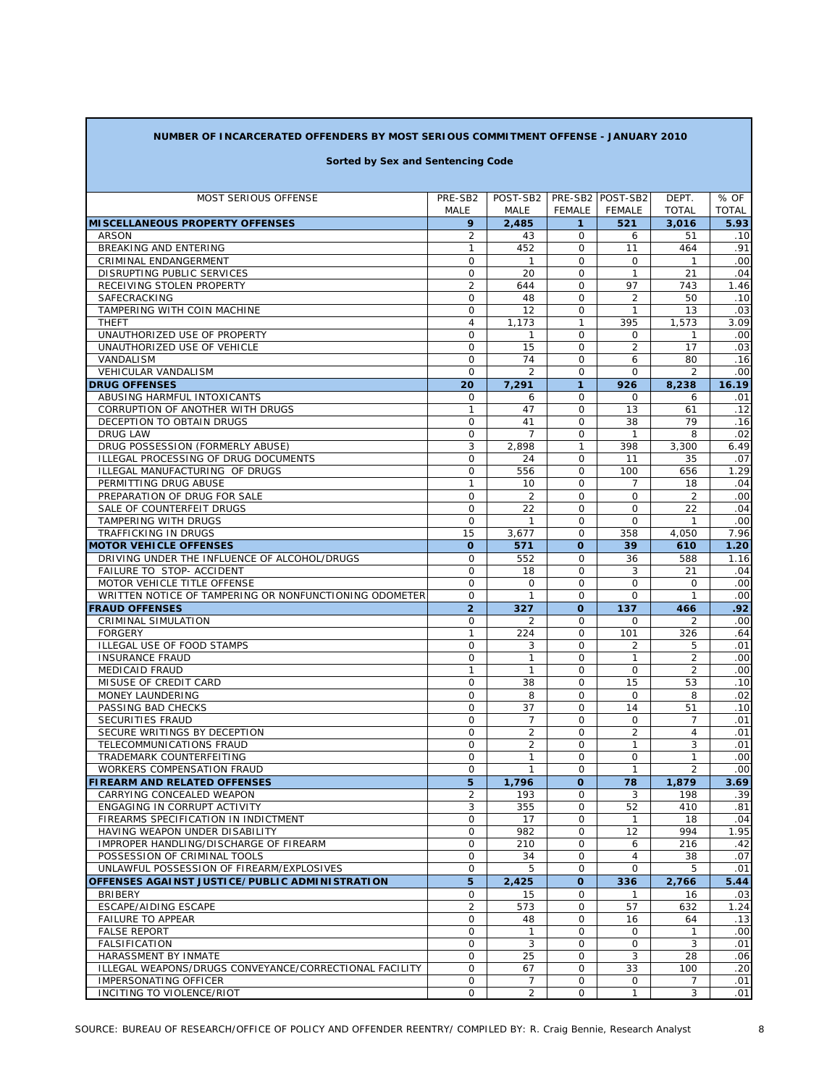## **NUMBER OF INCARCERATED OFFENDERS BY MOST SERIOUS COMMITMENT OFFENSE - JANUARY 2010**

#### **Sorted by Sex and Sentencing Code**

| <b>MOST SERIOUS OFFENSE</b>                            | PRE-SB2           | POST-SB2                     |                            | PRE-SB2 POST-SB2         | DEPT.          | % OF         |
|--------------------------------------------------------|-------------------|------------------------------|----------------------------|--------------------------|----------------|--------------|
|                                                        | MALE              | MALE                         | <b>FEMALE</b>              | FEMALE                   | <b>TOTAL</b>   | <b>TOTAL</b> |
| <b>MISCELLANEOUS PROPERTY OFFENSES</b>                 | 9                 | 2,485                        | 1                          | 521                      | 3,016          | 5.93         |
| <b>ARSON</b>                                           | 2                 | 43                           | 0                          | 6                        | 51             | .10          |
| BREAKING AND ENTERING                                  | 1                 | 452                          | 0                          | 11                       | 464            | .91          |
| CRIMINAL ENDANGERMENT                                  | 0                 | $\mathbf{1}$                 | $\mathbf 0$                | $\mathbf 0$              | $\mathbf{1}$   | .00          |
| DISRUPTING PUBLIC SERVICES                             | 0                 | 20                           | $\mathbf 0$                | $\mathbf{1}$             | 21             | .04          |
| RECEIVING STOLEN PROPERTY                              | $\overline{2}$    | 644                          | $\mathbf 0$                | 97                       | 743            | 1.46         |
| SAFECRACKING                                           | 0                 | 48                           | $\mathbf 0$                | 2                        | 50             | .10          |
| TAMPERING WITH COIN MACHINE                            | 0                 | 12                           | 0                          | $\mathbf{1}$             | 13             | .03          |
| <b>THEFT</b>                                           | $\overline{4}$    | 1,173                        | $\mathbf{1}$               | 395                      | 1.573          | 3.09         |
| UNAUTHORIZED USE OF PROPERTY                           | 0                 | $\mathbf{1}$                 | 0                          | 0                        | 1              | .00          |
| UNAUTHORIZED USE OF VEHICLE                            | 0                 | 15                           | $\mathbf{O}$               | $\overline{2}$           | 17             | .03          |
| <b>VANDALISM</b>                                       | 0                 | 74                           | 0                          | 6                        | 80             | .16          |
| <b>VEHICULAR VANDALISM</b>                             | 0                 | $\overline{2}$               | $\circ$                    | $\circ$                  | $\overline{2}$ | .00          |
| <b>DRUG OFFENSES</b>                                   | 20                | 7,291                        | $\mathbf{1}$               | 926                      | 8,238          | 16.19        |
| ABUSING HARMFUL INTOXICANTS                            | 0                 | 6                            | $\mathsf{O}$               | $\mathbf 0$              | 6              | .01          |
| CORRUPTION OF ANOTHER WITH DRUGS                       | $\mathbf{1}$      | 47                           | $\mathsf{O}$               | 13                       | 61             | .12          |
| DECEPTION TO OBTAIN DRUGS                              | 0                 | 41                           | $\mathsf{O}$               | 38                       | 79             | .16          |
| <b>DRUG LAW</b>                                        | 0                 | $\overline{7}$               | 0                          | $\mathbf{1}$             | 8              | .02          |
| DRUG POSSESSION (FORMERLY ABUSE)                       | 3                 | 2,898                        | $\mathbf{1}$               | 398                      | 3,300          | 6.49         |
| ILLEGAL PROCESSING OF DRUG DOCUMENTS                   | 0                 | 24                           | $\mathbf 0$                | 11                       | 35             | .07          |
| ILLEGAL MANUFACTURING OF DRUGS                         | 0                 | 556                          | $\mathsf{O}$               | 100                      | 656            | 1.29         |
| PERMITTING DRUG ABUSE                                  | $\mathbf{1}$      | 10                           | 0                          | 7                        | 18             | .04          |
| PREPARATION OF DRUG FOR SALE                           | 0                 | $\overline{2}$               | $\mathsf{O}$               | $\Omega$                 | 2              | .00          |
| SALE OF COUNTERFEIT DRUGS                              | 0                 | 22                           | $\mathsf{O}$               | $\circ$                  | 22             | .04          |
| TAMPERING WITH DRUGS                                   | $\mathsf{O}$      | $\mathbf{1}$                 | $\mathsf{O}$               | $\Omega$                 | 1              | .00          |
| TRAFFICKING IN DRUGS                                   | 15                | 3,677                        | 0                          | 358                      | 4,050          | 7.96         |
| <b>MOTOR VEHICLE OFFENSES</b>                          | $\mathbf{o}$      | 571                          | $\Omega$                   | 39                       | 610            | 1.20         |
| DRIVING UNDER THE INFLUENCE OF ALCOHOL/DRUGS           | 0                 | 552                          | $\mathbf 0$                | 36                       | 588            | 1.16         |
| FAILURE TO STOP- ACCIDENT                              | 0                 | 18                           | $\mathsf{O}$               | 3                        | 21             | .04          |
| MOTOR VEHICLE TITLE OFFENSE                            | 0                 | $\mathbf 0$                  | 0                          | O                        | $\mathbf 0$    | .00          |
| WRITTEN NOTICE OF TAMPERING OR NONFUNCTIONING ODOMETER | 0                 | $\mathbf{1}$                 | $\mathsf{O}$               | $\Omega$                 | 1              | .00          |
| <b>FRAUD OFFENSES</b>                                  | $\overline{2}$    | 327                          | O                          | 137                      | 466            | .92          |
| CRIMINAL SIMULATION                                    | 0                 | $\overline{2}$               | 0                          | $\mathbf 0$              | 2              | .00          |
| <b>FORGERY</b>                                         | $\mathbf{1}$      | 224                          | $\mathbf 0$                | 101                      | 326            | .64          |
| ILLEGAL USE OF FOOD STAMPS                             | 0                 | 3                            | $\mathbf 0$                | $\overline{2}$           | 5              | .01          |
| <b>INSURANCE FRAUD</b>                                 | 0                 | $\mathbf{1}$<br>$\mathbf{1}$ | $\mathbf 0$                | $\mathbf{1}$<br>$\Omega$ | $\overline{2}$ | .00          |
| <b>MEDICAID FRAUD</b>                                  | $\mathbf{1}$<br>0 |                              | $\mathbf 0$<br>$\mathbf 0$ | 15                       | 2              | .00<br>.10   |
| MISUSE OF CREDIT CARD<br>MONEY LAUNDERING              | 0                 | 38<br>8                      | $\mathbf 0$                | $\circ$                  | 53<br>8        | .02          |
| PASSING BAD CHECKS                                     | 0                 | 37                           | $\mathbf 0$                | 14                       | 51             | .10          |
| SECURITIES FRAUD                                       | 0                 | $\overline{7}$               | $\mathbf 0$                | $\mathbf 0$              | $\overline{7}$ | .01          |
| SECURE WRITINGS BY DECEPTION                           | 0                 | $\overline{2}$               | $\mathbf 0$                | $\overline{2}$           | 4              | .01          |
| TELECOMMUNICATIONS FRAUD                               | 0                 | $\overline{2}$               | $\mathbf 0$                | $\mathbf{1}$             | 3              | .01          |
| TRADEMARK COUNTERFEITING                               | 0                 | 1                            | $\mathbf 0$                | $\mathbf 0$              | 1              | .00          |
| <b>WORKERS COMPENSATION FRAUD</b>                      | 0                 | 1                            | $\mathbf 0$                | $\mathbf{1}$             | $\overline{2}$ | .00          |
| <b>FIREARM AND RELATED OFFENSES</b>                    | 5                 | 1,796                        | O                          | 78                       | 1,879          | 3.69         |
| CARRYING CONCEALED WEAPON                              | $\overline{2}$    | 193                          | O                          | 3                        | 198            | .39          |
| ENGAGING IN CORRUPT ACTIVITY                           | 3                 | 355                          | 0                          | 52                       | 410            | .81          |
| FIREARMS SPECIFICATION IN INDICTMENT                   | 0                 | 17                           | 0                          | $\mathbf{1}$             | 18             | .04          |
| HAVING WEAPON UNDER DISABILITY                         | 0                 | 982                          | 0                          | 12                       | 994            | 1.95         |
| IMPROPER HANDLING/DISCHARGE OF FIREARM                 | 0                 | 210                          | 0                          | 6                        | 216            | .42          |
| POSSESSION OF CRIMINAL TOOLS                           | 0                 | 34                           | 0                          | $\overline{4}$           | 38             | .07          |
| UNLAWFUL POSSESSION OF FIREARM/EXPLOSIVES              | 0                 | 5                            | 0                          | $\Omega$                 | 5              | .01          |
| OFFENSES AGAINST JUSTICE/PUBLIC ADMINISTRATION         | 5                 | 2,425                        | O                          | 336                      | 2,766          | 5.44         |
| <b>BRIBERY</b>                                         | 0                 | 15                           | 0                          | $\mathbf{1}$             | 16             | .03          |
| ESCAPE/AIDING ESCAPE                                   | $\overline{2}$    | 573                          | 0                          | 57                       | 632            | 1.24         |
| <b>FAILURE TO APPEAR</b>                               | 0                 | 48                           | 0                          | 16                       | 64             | .13          |
| <b>FALSE REPORT</b>                                    | 0                 | 1                            | $\mathbf{O}$               | 0                        | $\mathbf{1}$   | .00          |
| <b>FALSIFICATION</b>                                   | 0                 | 3                            | 0                          | 0                        | 3              | .01          |
| HARASSMENT BY INMATE                                   | 0                 | 25                           | $\mathsf{O}$               | 3                        | 28             | .06          |
| ILLEGAL WEAPONS/DRUGS CONVEYANCE/CORRECTIONAL FACILITY | 0                 | 67                           | 0                          | 33                       | 100            | .20          |
| IMPERSONATING OFFICER                                  | 0                 | 7                            | 0                          | 0                        | 7              | .01          |
| INCITING TO VIOLENCE/RIOT                              | 0                 | 2                            | 0                          | 1                        | 3              | .01          |